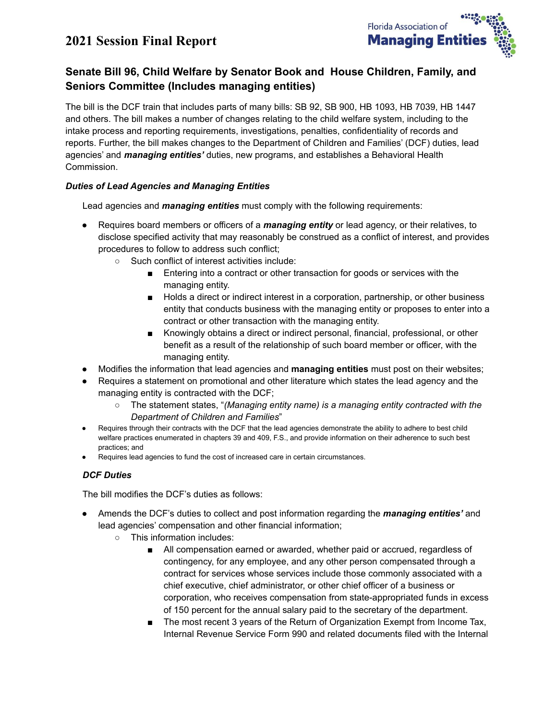# **2021 Session Final Report**



# **Senate Bill 96, Child Welfare by Senator Book and House Children, Family, and Seniors Committee (Includes managing entities)**

The bill is the DCF train that includes parts of many bills: SB 92, SB 900, HB 1093, HB 7039, HB 1447 and others. The bill makes a number of changes relating to the child welfare system, including to the intake process and reporting requirements, investigations, penalties, confidentiality of records and reports. Further, the bill makes changes to the Department of Children and Families' (DCF) duties, lead agencies' and *managing entities'* duties, new programs, and establishes a Behavioral Health Commission.

#### *Duties of Lead Agencies and Managing Entities*

Lead agencies and *managing entities* must comply with the following requirements:

- Requires board members or officers of a *managing entity* or lead agency, or their relatives, to disclose specified activity that may reasonably be construed as a conflict of interest, and provides procedures to follow to address such conflict;
	- Such conflict of interest activities include:
		- Entering into a contract or other transaction for goods or services with the managing entity.
		- Holds a direct or indirect interest in a corporation, partnership, or other business entity that conducts business with the managing entity or proposes to enter into a contract or other transaction with the managing entity.
		- Knowingly obtains a direct or indirect personal, financial, professional, or other benefit as a result of the relationship of such board member or officer, with the managing entity.
- Modifies the information that lead agencies and **managing entities** must post on their websites;
- Requires a statement on promotional and other literature which states the lead agency and the managing entity is contracted with the DCF;
	- The statement states, "*(Managing entity name) is a managing entity contracted with the Department of Children and Families*"
- Requires through their contracts with the DCF that the lead agencies demonstrate the ability to adhere to best child welfare practices enumerated in chapters 39 and 409, F.S., and provide information on their adherence to such best practices; and
- Requires lead agencies to fund the cost of increased care in certain circumstances.

### *DCF Duties*

The bill modifies the DCF's duties as follows:

- Amends the DCF's duties to collect and post information regarding the *managing entities'* and lead agencies' compensation and other financial information;
	- This information includes:
		- All compensation earned or awarded, whether paid or accrued, regardless of contingency, for any employee, and any other person compensated through a contract for services whose services include those commonly associated with a chief executive, chief administrator, or other chief officer of a business or corporation, who receives compensation from state-appropriated funds in excess of 150 percent for the annual salary paid to the secretary of the department.
		- The most recent 3 years of the Return of Organization Exempt from Income Tax, Internal Revenue Service Form 990 and related documents filed with the Internal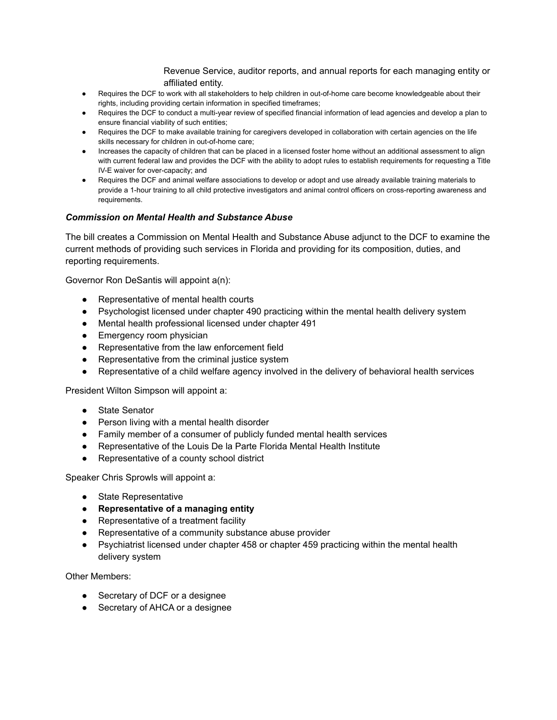Revenue Service, auditor reports, and annual reports for each managing entity or affiliated entity.

- Requires the DCF to work with all stakeholders to help children in out-of-home care become knowledgeable about their rights, including providing certain information in specified timeframes;
- Requires the DCF to conduct a multi-year review of specified financial information of lead agencies and develop a plan to ensure financial viability of such entities;
- Requires the DCF to make available training for caregivers developed in collaboration with certain agencies on the life skills necessary for children in out-of-home care;
- Increases the capacity of children that can be placed in a licensed foster home without an additional assessment to align with current federal law and provides the DCF with the ability to adopt rules to establish requirements for requesting a Title IV-E waiver for over-capacity; and
- Requires the DCF and animal welfare associations to develop or adopt and use already available training materials to provide a 1-hour training to all child protective investigators and animal control officers on cross-reporting awareness and requirements.

#### *Commission on Mental Health and Substance Abuse*

The bill creates a Commission on Mental Health and Substance Abuse adjunct to the DCF to examine the current methods of providing such services in Florida and providing for its composition, duties, and reporting requirements.

Governor Ron DeSantis will appoint a(n):

- Representative of mental health courts
- Psychologist licensed under chapter 490 practicing within the mental health delivery system
- Mental health professional licensed under chapter 491
- Emergency room physician
- Representative from the law enforcement field
- Representative from the criminal justice system
- Representative of a child welfare agency involved in the delivery of behavioral health services

President Wilton Simpson will appoint a:

- State Senator
- Person living with a mental health disorder
- Family member of a consumer of publicly funded mental health services
- Representative of the Louis De la Parte Florida Mental Health Institute
- Representative of a county school district

Speaker Chris Sprowls will appoint a:

- State Representative
- **● Representative of a managing entity**
- Representative of a treatment facility
- Representative of a community substance abuse provider
- Psychiatrist licensed under chapter 458 or chapter 459 practicing within the mental health delivery system

Other Members:

- Secretary of DCF or a designee
- Secretary of AHCA or a designee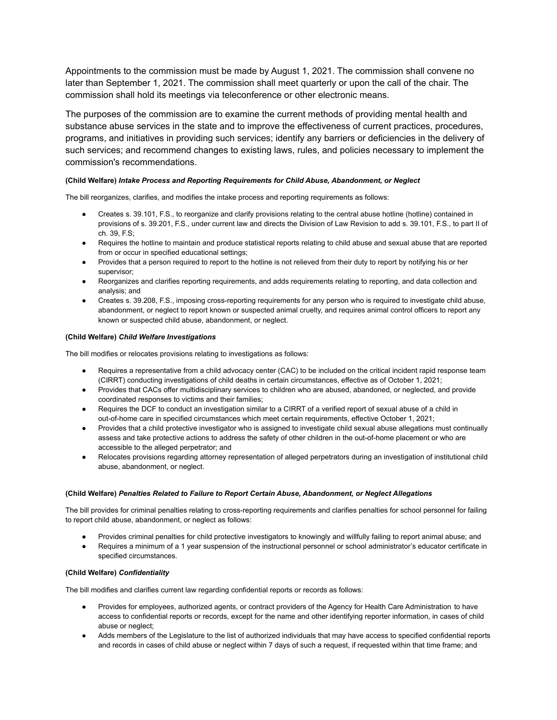Appointments to the commission must be made by August 1, 2021. The commission shall convene no later than September 1, 2021. The commission shall meet quarterly or upon the call of the chair. The commission shall hold its meetings via teleconference or other electronic means.

The purposes of the commission are to examine the current methods of providing mental health and substance abuse services in the state and to improve the effectiveness of current practices, procedures, programs, and initiatives in providing such services; identify any barriers or deficiencies in the delivery of such services; and recommend changes to existing laws, rules, and policies necessary to implement the commission's recommendations.

#### **(Child Welfare)** *Intake Process and Reporting Requirements for Child Abuse, Abandonment, or Neglect*

The bill reorganizes, clarifies, and modifies the intake process and reporting requirements as follows:

- Creates s. 39.101, F.S., to reorganize and clarify provisions relating to the central abuse hotline (hotline) contained in provisions of s. 39.201, F.S., under current law and directs the Division of Law Revision to add s. 39.101, F.S., to part II of ch. 39, F.S;
- Requires the hotline to maintain and produce statistical reports relating to child abuse and sexual abuse that are reported from or occur in specified educational settings;
- Provides that a person required to report to the hotline is not relieved from their duty to report by notifying his or her supervisor;
- Reorganizes and clarifies reporting requirements, and adds requirements relating to reporting, and data collection and analysis; and
- Creates s. 39.208, F.S., imposing cross-reporting requirements for any person who is required to investigate child abuse, abandonment, or neglect to report known or suspected animal cruelty, and requires animal control officers to report any known or suspected child abuse, abandonment, or neglect.

#### **(Child Welfare)** *Child Welfare Investigations*

The bill modifies or relocates provisions relating to investigations as follows:

- Requires a representative from a child advocacy center (CAC) to be included on the critical incident rapid response team (CIRRT) conducting investigations of child deaths in certain circumstances, effective as of October 1, 2021;
- Provides that CACs offer multidisciplinary services to children who are abused, abandoned, or neglected, and provide coordinated responses to victims and their families;
- Requires the DCF to conduct an investigation similar to a CIRRT of a verified report of sexual abuse of a child in out-of-home care in specified circumstances which meet certain requirements, effective October 1, 2021;
- Provides that a child protective investigator who is assigned to investigate child sexual abuse allegations must continually assess and take protective actions to address the safety of other children in the out-of-home placement or who are accessible to the alleged perpetrator; and
- Relocates provisions regarding attorney representation of alleged perpetrators during an investigation of institutional child abuse, abandonment, or neglect.

#### **(Child Welfare)** *Penalties Related to Failure to Report Certain Abuse, Abandonment, or Neglect Allegations*

The bill provides for criminal penalties relating to cross-reporting requirements and clarifies penalties for school personnel for failing to report child abuse, abandonment, or neglect as follows:

- Provides criminal penalties for child protective investigators to knowingly and willfully failing to report animal abuse; and
- Requires a minimum of a 1 year suspension of the instructional personnel or school administrator's educator certificate in specified circumstances.

#### **(Child Welfare)** *Confidentiality*

The bill modifies and clarifies current law regarding confidential reports or records as follows:

- Provides for employees, authorized agents, or contract providers of the Agency for Health Care Administration to have access to confidential reports or records, except for the name and other identifying reporter information, in cases of child abuse or neglect;
- Adds members of the Legislature to the list of authorized individuals that may have access to specified confidential reports and records in cases of child abuse or neglect within 7 days of such a request, if requested within that time frame; and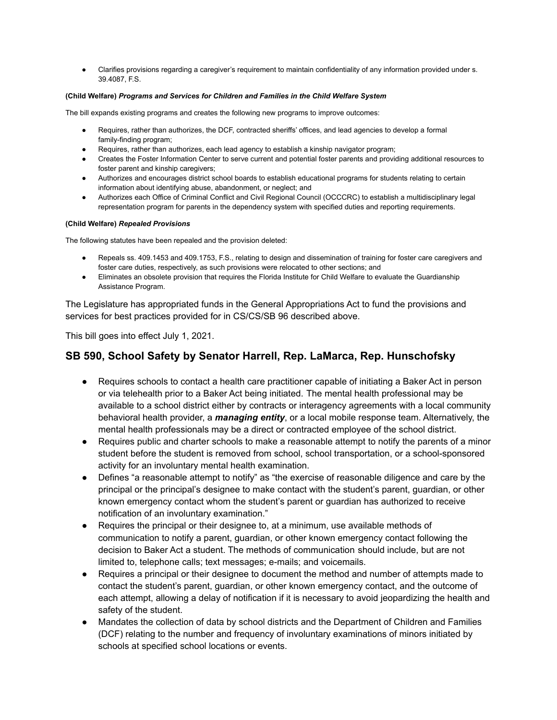● Clarifies provisions regarding a caregiver's requirement to maintain confidentiality of any information provided under s. 39.4087, F.S.

#### **(Child Welfare)** *Programs and Services for Children and Families in the Child Welfare System*

The bill expands existing programs and creates the following new programs to improve outcomes:

- Requires, rather than authorizes, the DCF, contracted sheriffs' offices, and lead agencies to develop a formal family-finding program;
- Requires, rather than authorizes, each lead agency to establish a kinship navigator program;
- Creates the Foster Information Center to serve current and potential foster parents and providing additional resources to foster parent and kinship caregivers;
- Authorizes and encourages district school boards to establish educational programs for students relating to certain information about identifying abuse, abandonment, or neglect; and
- Authorizes each Office of Criminal Conflict and Civil Regional Council (OCCCRC) to establish a multidisciplinary legal representation program for parents in the dependency system with specified duties and reporting requirements.

#### **(Child Welfare)** *Repealed Provisions*

The following statutes have been repealed and the provision deleted:

- Repeals ss. 409.1453 and 409.1753, F.S., relating to design and dissemination of training for foster care caregivers and foster care duties, respectively, as such provisions were relocated to other sections; and
- Eliminates an obsolete provision that requires the Florida Institute for Child Welfare to evaluate the Guardianship Assistance Program.

The Legislature has appropriated funds in the General Appropriations Act to fund the provisions and services for best practices provided for in CS/CS/SB 96 described above.

This bill goes into effect July 1, 2021.

## **SB 590, School Safety by Senator Harrell, Rep. LaMarca, Rep. Hunschofsky**

- Requires schools to contact a health care practitioner capable of initiating a Baker Act in person or via telehealth prior to a Baker Act being initiated. The mental health professional may be available to a school district either by contracts or interagency agreements with a local community behavioral health provider, a *managing entity*, or a local mobile response team. Alternatively, the mental health professionals may be a direct or contracted employee of the school district.
- Requires public and charter schools to make a reasonable attempt to notify the parents of a minor student before the student is removed from school, school transportation, or a school-sponsored activity for an involuntary mental health examination.
- Defines "a reasonable attempt to notify" as "the exercise of reasonable diligence and care by the principal or the principal's designee to make contact with the student's parent, guardian, or other known emergency contact whom the student's parent or guardian has authorized to receive notification of an involuntary examination."
- Requires the principal or their designee to, at a minimum, use available methods of communication to notify a parent, guardian, or other known emergency contact following the decision to Baker Act a student. The methods of communication should include, but are not limited to, telephone calls; text messages; e-mails; and voicemails.
- Requires a principal or their designee to document the method and number of attempts made to contact the student's parent, guardian, or other known emergency contact, and the outcome of each attempt, allowing a delay of notification if it is necessary to avoid jeopardizing the health and safety of the student.
- Mandates the collection of data by school districts and the Department of Children and Families (DCF) relating to the number and frequency of involuntary examinations of minors initiated by schools at specified school locations or events.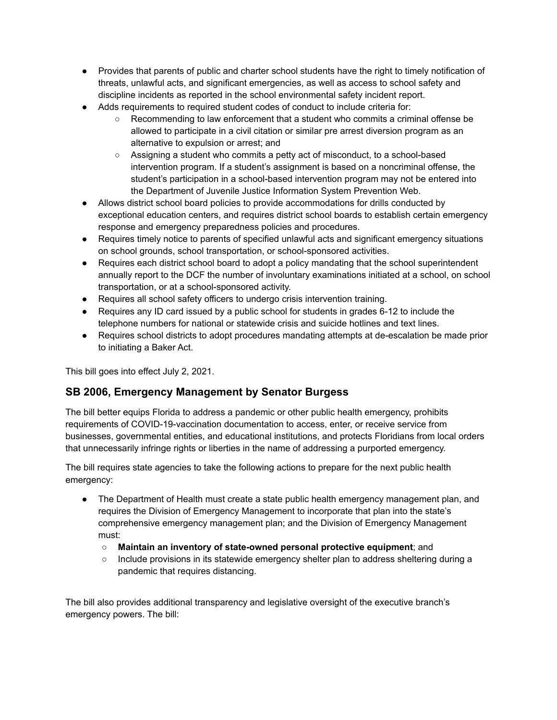- Provides that parents of public and charter school students have the right to timely notification of threats, unlawful acts, and significant emergencies, as well as access to school safety and discipline incidents as reported in the school environmental safety incident report.
- Adds requirements to required student codes of conduct to include criteria for:
	- Recommending to law enforcement that a student who commits a criminal offense be allowed to participate in a civil citation or similar pre arrest diversion program as an alternative to expulsion or arrest; and
	- Assigning a student who commits a petty act of misconduct, to a school-based intervention program. If a student's assignment is based on a noncriminal offense, the student's participation in a school-based intervention program may not be entered into the Department of Juvenile Justice Information System Prevention Web.
- Allows district school board policies to provide accommodations for drills conducted by exceptional education centers, and requires district school boards to establish certain emergency response and emergency preparedness policies and procedures.
- Requires timely notice to parents of specified unlawful acts and significant emergency situations on school grounds, school transportation, or school-sponsored activities.
- Requires each district school board to adopt a policy mandating that the school superintendent annually report to the DCF the number of involuntary examinations initiated at a school, on school transportation, or at a school-sponsored activity.
- Requires all school safety officers to undergo crisis intervention training.
- Requires any ID card issued by a public school for students in grades 6-12 to include the telephone numbers for national or statewide crisis and suicide hotlines and text lines.
- Requires school districts to adopt procedures mandating attempts at de-escalation be made prior to initiating a Baker Act.

This bill goes into effect July 2, 2021.

## **SB 2006, Emergency Management by Senator Burgess**

The bill better equips Florida to address a pandemic or other public health emergency, prohibits requirements of COVID-19-vaccination documentation to access, enter, or receive service from businesses, governmental entities, and educational institutions, and protects Floridians from local orders that unnecessarily infringe rights or liberties in the name of addressing a purported emergency.

The bill requires state agencies to take the following actions to prepare for the next public health emergency:

- The Department of Health must create a state public health emergency management plan, and requires the Division of Emergency Management to incorporate that plan into the state's comprehensive emergency management plan; and the Division of Emergency Management must:
	- **Maintain an inventory of state-owned personal protective equipment**; and
	- Include provisions in its statewide emergency shelter plan to address sheltering during a pandemic that requires distancing.

The bill also provides additional transparency and legislative oversight of the executive branch's emergency powers. The bill: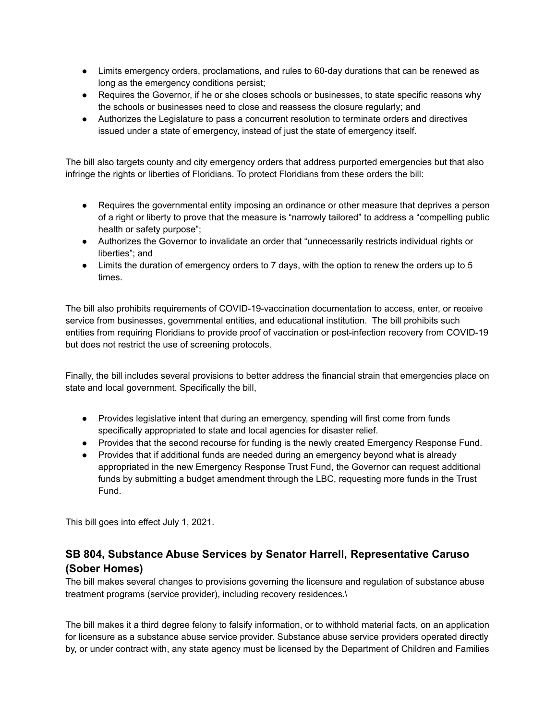- Limits emergency orders, proclamations, and rules to 60-day durations that can be renewed as long as the emergency conditions persist;
- Requires the Governor, if he or she closes schools or businesses, to state specific reasons why the schools or businesses need to close and reassess the closure regularly; and
- Authorizes the Legislature to pass a concurrent resolution to terminate orders and directives issued under a state of emergency, instead of just the state of emergency itself.

The bill also targets county and city emergency orders that address purported emergencies but that also infringe the rights or liberties of Floridians. To protect Floridians from these orders the bill:

- Requires the governmental entity imposing an ordinance or other measure that deprives a person of a right or liberty to prove that the measure is "narrowly tailored" to address a "compelling public health or safety purpose";
- Authorizes the Governor to invalidate an order that "unnecessarily restricts individual rights or liberties"; and
- Limits the duration of emergency orders to 7 days, with the option to renew the orders up to 5 times.

The bill also prohibits requirements of COVID-19-vaccination documentation to access, enter, or receive service from businesses, governmental entities, and educational institution. The bill prohibits such entities from requiring Floridians to provide proof of vaccination or post-infection recovery from COVID-19 but does not restrict the use of screening protocols.

Finally, the bill includes several provisions to better address the financial strain that emergencies place on state and local government. Specifically the bill,

- Provides legislative intent that during an emergency, spending will first come from funds specifically appropriated to state and local agencies for disaster relief.
- Provides that the second recourse for funding is the newly created Emergency Response Fund.
- Provides that if additional funds are needed during an emergency beyond what is already appropriated in the new Emergency Response Trust Fund, the Governor can request additional funds by submitting a budget amendment through the LBC, requesting more funds in the Trust Fund.

This bill goes into effect July 1, 2021.

# **SB 804, Substance Abuse Services by Senator Harrell, Representative Caruso (Sober Homes)**

The bill makes several changes to provisions governing the licensure and regulation of substance abuse treatment programs (service provider), including recovery residences.\

The bill makes it a third degree felony to falsify information, or to withhold material facts, on an application for licensure as a substance abuse service provider. Substance abuse service providers operated directly by, or under contract with, any state agency must be licensed by the Department of Children and Families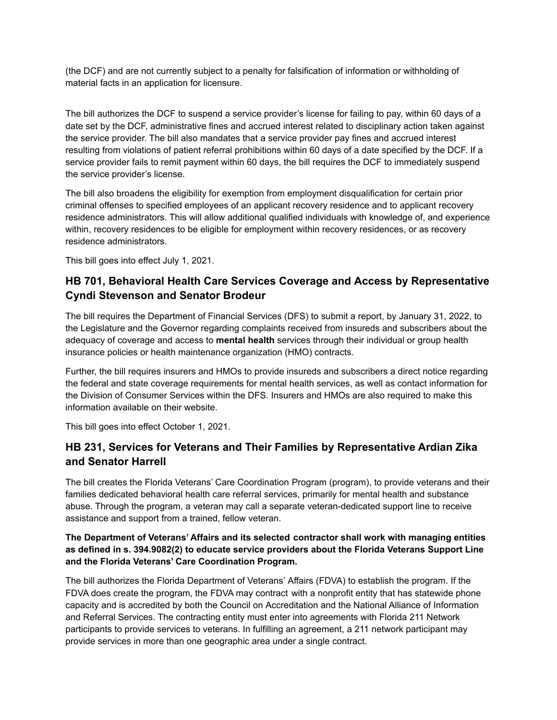(the DCF) and are not currently subject to a penalty for falsification of information or withholding of material facts in an application for licensure.

The bill authorizes the DCF to suspend a service provider's license for failing to pay, within 60 days of a date set by the DCF, administrative fines and accrued interest related to disciplinary action taken against the service provider. The bill also mandates that a service provider pay fines and accrued interest resulting from violations of patient referral prohibitions within 60 days of a date specified by the DCF. If a service provider fails to remit payment within 60 days, the bill requires the DCF to immediately suspend the service provider's license.

The bill also broadens the eligibility for exemption from employment disqualification for certain prior criminal offenses to specified employees of an applicant recovery residence and to applicant recovery residence administrators. This will allow additional qualified individuals with knowledge of, and experience within, recovery residences to be eligible for employment within recovery residences, or as recovery residence administrators.

This bill goes into effect July 1, 2021.

# **HB 701, Behavioral Health Care Services Coverage and Access by Representative Cyndi Stevenson and Senator Brodeur**

The bill requires the Department of Financial Services (DFS) to submit a report, by January 31, 2022, to the Legislature and the Governor regarding complaints received from insureds and subscribers about the adequacy of coverage and access to **mental health** services through their individual or group health insurance policies or health maintenance organization (HMO) contracts.

Further, the bill requires insurers and HMOs to provide insureds and subscribers a direct notice regarding the federal and state coverage requirements for mental health services, as well as contact information for the Division of Consumer Services within the DFS. Insurers and HMOs are also required to make this information available on their website.

This bill goes into effect October 1, 2021.

## **HB 231, Services for Veterans and Their Families by Representative Ardian Zika and Senator Harrell**

The bill creates the Florida Veterans' Care Coordination Program (program), to provide veterans and their families dedicated behavioral health care referral services, primarily for mental health and substance abuse. Through the program, a veteran may call a separate veteran-dedicated support line to receive assistance and support from a trained, fellow veteran.

#### **The Department of Veterans' Affairs and its selected contractor shall work with managing entities as defined in s. 394.9082(2) to educate service providers about the Florida Veterans Support Line and the Florida Veterans' Care Coordination Program.**

The bill authorizes the Florida Department of Veterans' Affairs (FDVA) to establish the program. If the FDVA does create the program, the FDVA may contract with a nonprofit entity that has statewide phone capacity and is accredited by both the Council on Accreditation and the National Alliance of Information and Referral Services. The contracting entity must enter into agreements with Florida 211 Network participants to provide services to veterans. In fulfilling an agreement, a 211 network participant may provide services in more than one geographic area under a single contract.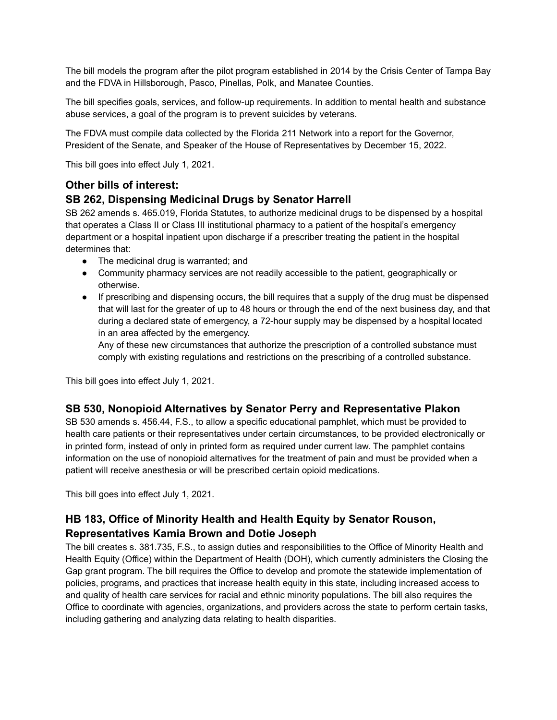The bill models the program after the pilot program established in 2014 by the Crisis Center of Tampa Bay and the FDVA in Hillsborough, Pasco, Pinellas, Polk, and Manatee Counties.

The bill specifies goals, services, and follow-up requirements. In addition to mental health and substance abuse services, a goal of the program is to prevent suicides by veterans.

The FDVA must compile data collected by the Florida 211 Network into a report for the Governor, President of the Senate, and Speaker of the House of Representatives by December 15, 2022.

This bill goes into effect July 1, 2021.

## **Other bills of interest:**

## **SB 262, Dispensing Medicinal Drugs by Senator Harrell**

SB 262 amends s. 465.019, Florida Statutes, to authorize medicinal drugs to be dispensed by a hospital that operates a Class II or Class III institutional pharmacy to a patient of the hospital's emergency department or a hospital inpatient upon discharge if a prescriber treating the patient in the hospital determines that:

- The medicinal drug is warranted; and
- Community pharmacy services are not readily accessible to the patient, geographically or otherwise.
- If prescribing and dispensing occurs, the bill requires that a supply of the drug must be dispensed that will last for the greater of up to 48 hours or through the end of the next business day, and that during a declared state of emergency, a 72-hour supply may be dispensed by a hospital located in an area affected by the emergency.

Any of these new circumstances that authorize the prescription of a controlled substance must comply with existing regulations and restrictions on the prescribing of a controlled substance.

This bill goes into effect July 1, 2021.

## **SB 530, Nonopioid Alternatives by Senator Perry and Representative Plakon**

SB 530 amends s. 456.44, F.S., to allow a specific educational pamphlet, which must be provided to health care patients or their representatives under certain circumstances, to be provided electronically or in printed form, instead of only in printed form as required under current law. The pamphlet contains information on the use of nonopioid alternatives for the treatment of pain and must be provided when a patient will receive anesthesia or will be prescribed certain opioid medications.

This bill goes into effect July 1, 2021.

## **HB 183, Office of Minority Health and Health Equity by Senator Rouson, Representatives Kamia Brown and Dotie Joseph**

The bill creates s. 381.735, F.S., to assign duties and responsibilities to the Office of Minority Health and Health Equity (Office) within the Department of Health (DOH), which currently administers the Closing the Gap grant program. The bill requires the Office to develop and promote the statewide implementation of policies, programs, and practices that increase health equity in this state, including increased access to and quality of health care services for racial and ethnic minority populations. The bill also requires the Office to coordinate with agencies, organizations, and providers across the state to perform certain tasks, including gathering and analyzing data relating to health disparities.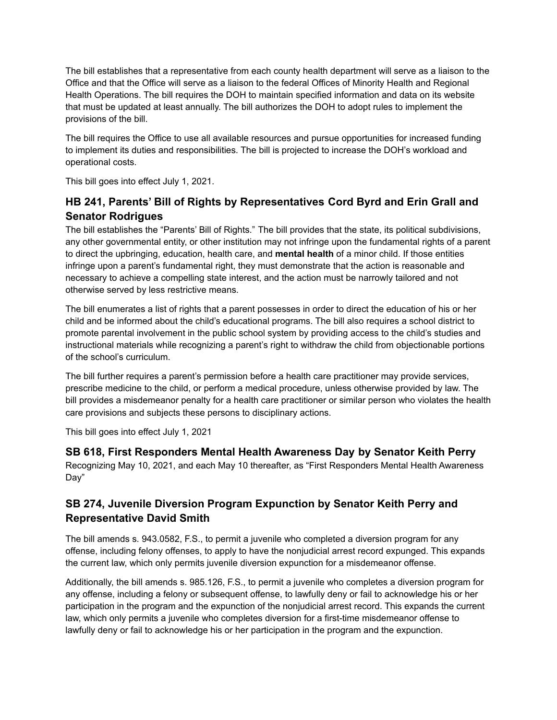The bill establishes that a representative from each county health department will serve as a liaison to the Office and that the Office will serve as a liaison to the federal Offices of Minority Health and Regional Health Operations. The bill requires the DOH to maintain specified information and data on its website that must be updated at least annually. The bill authorizes the DOH to adopt rules to implement the provisions of the bill.

The bill requires the Office to use all available resources and pursue opportunities for increased funding to implement its duties and responsibilities. The bill is projected to increase the DOH's workload and operational costs.

This bill goes into effect July 1, 2021.

# **HB 241, Parents' Bill of Rights by Representatives Cord Byrd and Erin Grall and Senator Rodrigues**

The bill establishes the "Parents' Bill of Rights." The bill provides that the state, its political subdivisions, any other governmental entity, or other institution may not infringe upon the fundamental rights of a parent to direct the upbringing, education, health care, and **mental health** of a minor child. If those entities infringe upon a parent's fundamental right, they must demonstrate that the action is reasonable and necessary to achieve a compelling state interest, and the action must be narrowly tailored and not otherwise served by less restrictive means.

The bill enumerates a list of rights that a parent possesses in order to direct the education of his or her child and be informed about the child's educational programs. The bill also requires a school district to promote parental involvement in the public school system by providing access to the child's studies and instructional materials while recognizing a parent's right to withdraw the child from objectionable portions of the school's curriculum.

The bill further requires a parent's permission before a health care practitioner may provide services, prescribe medicine to the child, or perform a medical procedure, unless otherwise provided by law. The bill provides a misdemeanor penalty for a health care practitioner or similar person who violates the health care provisions and subjects these persons to disciplinary actions.

This bill goes into effect July 1, 2021

## **SB 618, First Responders Mental Health Awareness Day by Senator Keith Perry**

Recognizing May 10, 2021, and each May 10 thereafter, as "First Responders Mental Health Awareness Day"

## **SB 274, Juvenile Diversion Program Expunction by Senator Keith Perry and Representative David Smith**

The bill amends s. 943.0582, F.S., to permit a juvenile who completed a diversion program for any offense, including felony offenses, to apply to have the nonjudicial arrest record expunged. This expands the current law, which only permits juvenile diversion expunction for a misdemeanor offense.

Additionally, the bill amends s. 985.126, F.S., to permit a juvenile who completes a diversion program for any offense, including a felony or subsequent offense, to lawfully deny or fail to acknowledge his or her participation in the program and the expunction of the nonjudicial arrest record. This expands the current law, which only permits a juvenile who completes diversion for a first-time misdemeanor offense to lawfully deny or fail to acknowledge his or her participation in the program and the expunction.